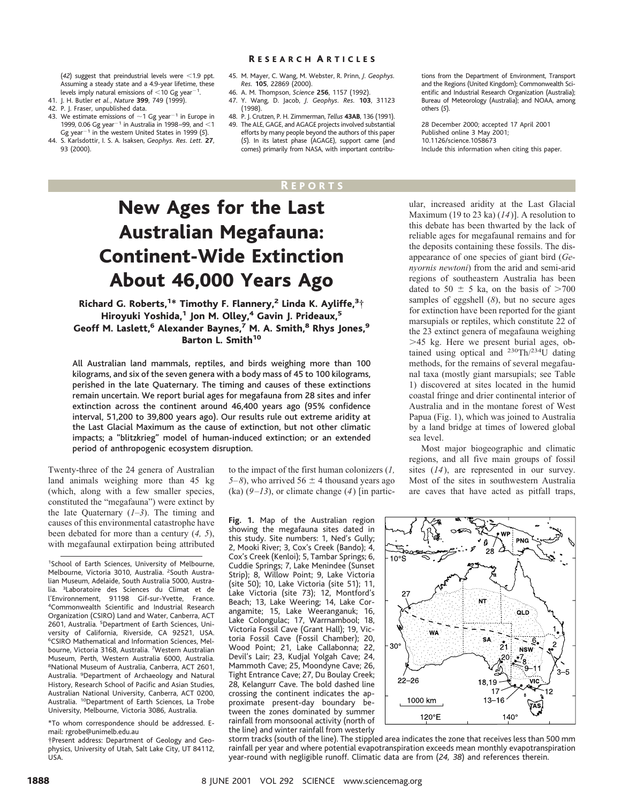#### R ESEARCH A RTICLES

 $(42)$  suggest that preindustrial levels were  $<$ 19 nnt. Assuming a steady state and a 4.9-year lifetime, these levels imply natural emissions of  $<$  10 Gg year<sup>-1</sup>.

- 41. J. H. Butler *et al.*, *Nature* **399**, 749 (1999).
- 42. P. J. Fraser, unpublished data.
- 43. We estimate emissions of  $\sim$ 1 Gg year<sup>-1</sup> in Europe in 1999, 0.06 Gg year<sup>-1</sup> in Australia in 1998–99, and  $<$ 1 Gg year<sup>-1</sup> in the western United States in 1999 (5).
- 44. S. Karlsdottir, I. S. A. Isaksen, *Geophys. Res. Lett.* **27**, 93 (2000).
- 45. M. Mayer, C. Wang, M. Webster, R. Prinn, *J. Geophys. Res.* **105**, 22869 (2000).
- 46. A. M. Thompson, *Science* **256**, 1157 (1992).
- 47. Y. Wang, D. Jacob, *J. Geophys. Res.* **103**, 31123 (1998).
- 48. P. J. Crutzen, P. H. Zimmerman, *Tellus* **43AB**, 136 (1991). 49. The ALE, GAGE, and AGAGE projects involved substantial
- efforts by many people beyond the authors of this paper (*5*). In its latest phase (AGAGE), support came (and comes) primarily from NASA, with important contribu-

## **REPORTS**

# New Ages for the Last Australian Megafauna: Continent-Wide Extinction About 46,000 Years Ago

## Richard G. Roberts,<sup>1\*</sup> Timothy F. Flannery,<sup>2</sup> Linda K. Ayliffe,<sup>3</sup>† Hiroyuki Yoshida,<sup>1</sup> Jon M. Olley,<sup>4</sup> Gavin J. Prideaux,<sup>5</sup> Geoff M. Laslett,<sup>6</sup> Alexander Baynes,<sup>7</sup> M. A. Smith,<sup>8</sup> Rhys Jones,<sup>9</sup> Barton L. Smith<sup>10</sup>

All Australian land mammals, reptiles, and birds weighing more than 100 kilograms, and six of the seven genera with a body mass of 45 to 100 kilograms, perished in the late Quaternary. The timing and causes of these extinctions remain uncertain. We report burial ages for megafauna from 28 sites and infer extinction across the continent around 46,400 years ago (95% confidence interval, 51,200 to 39,800 years ago). Our results rule out extreme aridity at the Last Glacial Maximum as the cause of extinction, but not other climatic impacts; a "blitzkrieg" model of human-induced extinction; or an extended period of anthropogenic ecosystem disruption.

Twenty-three of the 24 genera of Australian land animals weighing more than 45 kg (which, along with a few smaller species, constituted the "megafauna") were extinct by the late Quaternary (*1–3*). The timing and causes of this environmental catastrophe have been debated for more than a century (*4, 5*), with megafaunal extirpation being attributed

\*To whom correspondence should be addressed. Email: rgrobe@unimelb.edu.au

†Present address: Department of Geology and Geophysics, University of Utah, Salt Lake City, UT 84112, USA.

to the impact of the first human colonizers (*1,*  $5-8$ ), who arrived  $56 \pm 4$  thousand years ago (ka) (*9–13*), or climate change (*4*) [in partic-

**Fig. 1.** Map of the Australian region showing the megafauna sites dated in this study. Site numbers: 1, Ned's Gully; 2, Mooki River; 3, Cox's Creek (Bando); 4, Cox's Creek (Kenloi); 5, Tambar Springs; 6, Cuddie Springs; 7, Lake Menindee (Sunset Strip); 8, Willow Point; 9, Lake Victoria (site 50); 10, Lake Victoria (site 51); 11, Lake Victoria (site 73); 12, Montford's Beach; 13, Lake Weering; 14, Lake Corangamite; 15, Lake Weeranganuk; 16, Lake Colongulac; 17, Warrnambool; 18, Victoria Fossil Cave (Grant Hall); 19, Victoria Fossil Cave (Fossil Chamber); 20, Wood Point; 21, Lake Callabonna; 22, Devil's Lair; 23, Kudjal Yolgah Cave; 24, Mammoth Cave; 25, Moondyne Cave; 26, Tight Entrance Cave; 27, Du Boulay Creek; 28, Kelangurr Cave. The bold dashed line crossing the continent indicates the approximate present-day boundary between the zones dominated by summer rainfall from monsoonal activity (north of the line) and winter rainfall from westerly tions from the Department of Environment, Transport and the Regions (United Kingdom); Commonwealth Scientific and Industrial Research Organization (Australia); Bureau of Meteorology (Australia); and NOAA, among others (*5*).

28 December 2000; accepted 17 April 2001 Published online 3 May 2001; 10.1126/science.1058673 Include this information when citing this paper.

ular, increased aridity at the Last Glacial Maximum (19 to 23 ka) (*14*)]. A resolution to this debate has been thwarted by the lack of reliable ages for megafaunal remains and for the deposits containing these fossils. The disappearance of one species of giant bird (*Genyornis newtoni*) from the arid and semi-arid regions of southeastern Australia has been dated to 50  $\pm$  5 ka, on the basis of  $>700$ samples of eggshell (*8*), but no secure ages for extinction have been reported for the giant marsupials or reptiles, which constitute 22 of the 23 extinct genera of megafauna weighing .45 kg. Here we present burial ages, obtained using optical and 230Th/234U dating methods, for the remains of several megafaunal taxa (mostly giant marsupials; see Table 1) discovered at sites located in the humid coastal fringe and drier continental interior of Australia and in the montane forest of West Papua (Fig. 1), which was joined to Australia by a land bridge at times of lowered global sea level.

Most major biogeographic and climatic regions, and all five main groups of fossil sites (*14*), are represented in our survey. Most of the sites in southwestern Australia are caves that have acted as pitfall traps,



storm tracks (south of the line). The stippled area indicates the zone that receives less than 500 mm rainfall per year and where potential evapotranspiration exceeds mean monthly evapotranspiration year-round with negligible runoff. Climatic data are from (*24, 38*) and references therein.

<sup>1</sup> School of Earth Sciences, University of Melbourne, Melbourne, Victoria 3010, Australia. <sup>2</sup>South Australian Museum, Adelaide, South Australia 5000, Australia. <sup>3</sup> Laboratoire des Sciences du Climat et de l'Environnement, 91198 Gif-sur-Yvette, France. 4 Commonwealth Scientific and Industrial Research Organization (CSIRO) Land and Water, Canberra, ACT 2601, Australia. <sup>5</sup>Department of Earth Sciences, University of California, Riverside, CA 92521, USA. 6 CSIRO Mathematical and Information Sciences, Melbourne, Victoria 3168, Australia. <sup>7</sup>Western Australian Museum, Perth, Western Australia 6000, Australia. 8 National Museum of Australia, Canberra, ACT 2601, Australia. <sup>9</sup>Department of Archaeology and Natural History, Research School of Pacific and Asian Studies, Australian National University, Canberra, ACT 0200, Australia. 10Department of Earth Sciences, La Trobe University, Melbourne, Victoria 3086, Australia.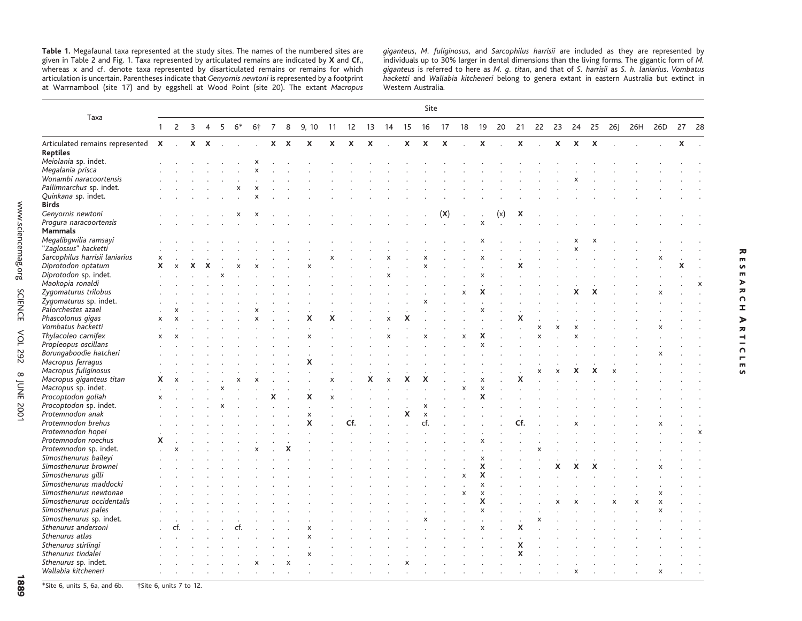**Table 1.** Megafaunal taxa represented at the study sites. The names of the numbered sites are given in Table 2 and Fig. 1. Taxa represented by articulated remains are indicated by **X** and **Cf.**, whereas <sup>x</sup> and cf. denote taxa represented by disarticulated remains or remains for which articulation is uncertain. Parentheses indicate that *Genyornis newtoni* is represented by <sup>a</sup> footprint at Warrnambool (site 17) and by eggshell at Wood Point (site 20). The extant *Macropus*

*giganteus*, *M. fuliginosus*, and *Sarcophilus harrisii* are included as they are represented by individuals up to 30% larger in dental dimensions than the living forms. The gigantic form of *M. giganteus* is referred to here as M. *g. titan*, and that of S. *harrisii* as S. *h. laniarius. Vombatus*<br>*hacketti and Wallabia kitcheneri* belong to genera extant in eastern Australia but extinct in Western Australia.

 $\overline{\phantom{a}}$ 

 $\bar{m}$  $\bullet$  $\frac{m}{m}$  $\blacktriangleright$ 

ESEARCH

 $\overline{z}$  $\Omega$  $\pm$ 

ARTIC RTICLES

 $\overline{\mathbf{m}}$ 

ທ

|                                           |                           | Site           |                |   |                           |            |                             |                |         |                           |                           |                           |                           |                |   |                           |                                    |                           |                           |               |                           |                           |                |             |   |   |         |              |                           |                           |
|-------------------------------------------|---------------------------|----------------|----------------|---|---------------------------|------------|-----------------------------|----------------|---------|---------------------------|---------------------------|---------------------------|---------------------------|----------------|---|---------------------------|------------------------------------|---------------------------|---------------------------|---------------|---------------------------|---------------------------|----------------|-------------|---|---|---------|--------------|---------------------------|---------------------------|
| Taxa                                      | $\mathbf{1}$              | $\overline{2}$ | $\overline{3}$ |   |                           | $4\ 5\ 6*$ | 6†                          | $\overline{7}$ | 8       | 9, 10                     | 11                        |                           |                           |                |   |                           | 12  13  14  15  16  17  18  19  20 |                           |                           |               | 21                        |                           | 22  23  24  25 |             |   |   | 26J 26H | 26D          |                           | 27 28                     |
|                                           |                           |                |                |   |                           |            |                             |                |         |                           |                           |                           |                           |                |   |                           |                                    |                           |                           |               |                           |                           |                |             |   |   |         |              |                           |                           |
| Articulated remains represented X . X X . |                           |                |                |   |                           | $\sim$     | $\mathcal{L}^{\mathcal{L}}$ |                | $X$ $X$ | $\boldsymbol{\mathsf{X}}$ | X                         | $\boldsymbol{\mathsf{x}}$ | $\boldsymbol{\mathsf{X}}$ | $\sim$         |   | $X$ $X$                   | $\boldsymbol{\mathsf{X}}$          | $\mathbb{R}^{\mathbb{Z}}$ | $\pmb{\chi}$              | $\mathcal{L}$ | $\boldsymbol{\mathsf{X}}$ | $\sim$                    |                | $X$ $X$ $X$ |   |   |         |              | $\boldsymbol{\mathsf{X}}$ | $\sim$                    |
| <b>Reptiles</b>                           |                           |                |                |   |                           |            |                             |                |         |                           |                           |                           |                           |                |   |                           |                                    |                           |                           |               |                           |                           |                |             |   |   |         |              |                           |                           |
| Meiolania sp. indet.                      |                           |                |                |   |                           |            | х                           |                |         |                           |                           |                           |                           |                |   |                           |                                    |                           |                           |               |                           |                           |                |             |   |   |         |              |                           |                           |
| Megalania prisca                          |                           |                |                |   |                           |            | x                           |                |         |                           |                           |                           |                           |                |   |                           |                                    |                           |                           |               |                           |                           |                |             |   |   |         |              |                           |                           |
| Wonambi naracoortensis                    |                           |                |                |   |                           |            |                             |                |         |                           |                           |                           |                           |                |   |                           |                                    |                           |                           |               |                           |                           |                |             |   |   |         |              |                           |                           |
| Pallimnarchus sp. indet.                  |                           |                |                |   |                           | x          | X                           |                |         |                           |                           |                           |                           |                |   |                           |                                    |                           |                           |               |                           |                           |                |             |   |   |         |              |                           |                           |
| Quinkana sp. indet.<br>Birds              |                           |                |                |   |                           |            |                             |                |         |                           |                           |                           |                           |                |   |                           |                                    |                           |                           |               |                           |                           |                |             |   |   |         |              |                           |                           |
| Genyornis newtoni                         |                           |                |                |   |                           | х          | х                           |                |         |                           |                           |                           |                           |                |   |                           | (X)                                |                           |                           | (x)           | x                         |                           |                |             |   |   |         |              |                           |                           |
| Progura naracoortensis                    |                           |                |                |   |                           |            |                             |                |         |                           |                           |                           |                           |                |   |                           |                                    |                           | X                         |               |                           |                           |                |             |   |   |         |              |                           |                           |
| Mammals                                   |                           |                |                |   |                           |            |                             |                |         |                           |                           |                           |                           |                |   |                           |                                    |                           |                           |               |                           |                           |                |             |   |   |         |              |                           |                           |
| Megalibgwilia ramsayi                     |                           |                |                |   |                           |            |                             |                |         |                           |                           |                           |                           |                |   |                           |                                    |                           |                           |               |                           |                           |                |             |   |   |         |              |                           |                           |
| "Zaglossus" hacketti                      |                           |                |                |   |                           |            |                             |                |         |                           |                           |                           |                           |                |   |                           |                                    |                           |                           |               |                           |                           |                | X           |   |   |         |              |                           |                           |
| Sarcophilus harrisii laniarius            | X                         |                |                |   |                           |            |                             |                |         |                           | $\boldsymbol{\mathsf{x}}$ |                           |                           |                |   |                           |                                    |                           |                           |               |                           |                           |                |             |   |   |         | x            |                           |                           |
| Diprotodon optatum                        | X                         |                |                | X |                           |            |                             |                |         |                           |                           |                           |                           |                |   |                           |                                    |                           |                           |               |                           |                           |                |             |   |   |         |              |                           |                           |
|                                           |                           | $\pmb{\times}$ | X              |   |                           | X          | X                           |                |         | X                         |                           |                           |                           |                |   | x                         |                                    |                           |                           |               | x                         |                           |                |             |   |   |         |              | X                         |                           |
| Diprotodon sp. indet.                     |                           |                |                |   |                           |            |                             |                |         |                           |                           |                           |                           |                |   |                           |                                    |                           | $\boldsymbol{\mathsf{x}}$ |               |                           |                           |                |             |   |   |         |              |                           |                           |
| Maokopia ronaldi                          |                           |                |                |   |                           |            |                             |                |         |                           |                           |                           |                           |                |   |                           |                                    |                           |                           |               |                           |                           |                |             |   |   |         |              |                           | X                         |
| Zygomaturus trilobus                      |                           |                |                |   |                           |            |                             |                |         |                           |                           |                           |                           |                |   |                           |                                    | $\pmb{\times}$            | X                         |               |                           |                           |                | x           | x |   |         | x            |                           |                           |
| Zygomaturus sp. indet.                    |                           |                |                |   |                           |            |                             |                |         |                           |                           |                           |                           |                |   |                           |                                    |                           |                           |               |                           |                           |                |             |   |   |         |              |                           |                           |
| Palorchestes azael                        |                           |                |                |   |                           |            |                             |                |         |                           |                           |                           |                           |                |   |                           |                                    |                           | x                         |               |                           |                           |                |             |   |   |         |              |                           |                           |
| Phascolonus gigas                         | $\pmb{\times}$            | $\mathsf{x}$   |                |   |                           |            | $\boldsymbol{\mathsf{x}}$   |                |         | x                         | x                         |                           |                           | $\pmb{\times}$ | X |                           |                                    |                           |                           |               | x                         |                           |                |             |   |   |         |              |                           |                           |
| Vombatus hacketti                         |                           |                |                |   |                           |            |                             |                |         |                           |                           |                           |                           |                |   |                           |                                    |                           |                           |               |                           | $\boldsymbol{\mathsf{x}}$ |                |             |   |   |         |              |                           |                           |
| Thylacoleo carnifex                       | X                         |                |                |   |                           |            |                             |                |         | х                         |                           |                           |                           |                |   | X                         |                                    | X                         | x                         |               |                           | $\overline{\mathsf{x}}$   |                |             |   |   |         |              |                           |                           |
| Propleopus oscillans                      |                           |                |                |   |                           |            |                             |                |         |                           |                           |                           |                           |                |   |                           |                                    |                           | $\mathsf{x}$              |               |                           |                           |                |             |   |   |         |              |                           |                           |
| Borungaboodie hatcheri                    |                           |                |                |   |                           |            |                             |                |         |                           |                           |                           |                           |                |   |                           |                                    |                           |                           |               |                           |                           |                |             |   |   |         |              |                           |                           |
| Macropus ferragus                         |                           |                |                |   |                           |            |                             |                |         | x                         |                           |                           |                           |                |   |                           |                                    |                           |                           |               |                           |                           |                |             |   |   |         |              |                           |                           |
| Macropus fuliginosus                      |                           |                |                |   |                           |            |                             |                |         |                           |                           |                           |                           |                |   |                           |                                    |                           |                           |               |                           | $\boldsymbol{\mathsf{x}}$ |                |             | X |   |         |              |                           |                           |
| Macropus giganteus titan                  | x                         |                |                |   |                           |            |                             |                |         |                           | x                         |                           | x                         | $\pmb{\times}$ | x | x                         |                                    |                           |                           |               | X                         |                           |                |             |   |   |         |              |                           |                           |
| Macropus sp. indet.                       |                           |                |                |   | $\boldsymbol{\mathsf{x}}$ |            |                             |                |         | $\cdot$                   |                           |                           |                           |                |   |                           |                                    | $\pmb{\times}$            | $\pmb{\times}$            |               |                           |                           |                |             |   |   |         |              |                           |                           |
| Procoptodon goliah                        | $\boldsymbol{\mathsf{x}}$ |                |                |   |                           |            |                             | x              |         | x                         | X                         |                           |                           |                |   |                           |                                    |                           | X                         |               |                           |                           |                |             |   |   |         |              |                           |                           |
| Procoptodon sp. indet.                    |                           |                |                |   |                           |            |                             |                |         |                           |                           |                           |                           |                |   | X                         |                                    |                           |                           |               |                           |                           |                |             |   |   |         |              |                           |                           |
| Protemnodon anak                          |                           |                |                |   |                           |            |                             |                |         | X                         |                           |                           |                           |                | X | $\boldsymbol{\mathsf{x}}$ |                                    |                           |                           |               |                           |                           |                |             |   |   |         |              |                           |                           |
| Protemnodon brehus                        |                           |                |                |   |                           |            |                             |                |         | x                         |                           | Cf.                       |                           |                |   | cf.                       |                                    |                           |                           |               | Cf.                       |                           |                |             |   |   |         |              |                           |                           |
| Protemnodon hopei                         |                           |                |                |   |                           |            |                             |                |         |                           |                           |                           |                           |                |   |                           |                                    |                           |                           |               |                           |                           |                |             |   |   |         |              |                           | $\boldsymbol{\mathsf{x}}$ |
| Protemnodon roechus                       | x                         |                |                |   |                           |            |                             |                |         |                           |                           |                           |                           |                |   |                           |                                    |                           |                           |               |                           |                           |                |             |   |   |         |              |                           |                           |
| Protemnodon sp. indet.                    |                           |                |                |   |                           |            |                             |                |         |                           |                           |                           |                           |                |   |                           |                                    |                           |                           |               |                           |                           |                |             |   |   |         |              |                           |                           |
| Simosthenurus baileyi                     |                           |                |                |   |                           |            |                             |                |         |                           |                           |                           |                           |                |   |                           |                                    |                           | X                         |               |                           |                           |                |             |   |   |         |              |                           |                           |
| Simosthenurus brownei                     |                           |                |                |   |                           |            |                             |                |         |                           |                           |                           |                           |                |   |                           |                                    |                           | X                         |               |                           |                           | X              | X           |   |   |         |              |                           |                           |
| Simosthenurus gilli                       |                           |                |                |   |                           |            |                             |                |         |                           |                           |                           |                           |                |   |                           |                                    | X                         | X                         |               |                           |                           |                |             |   |   |         |              |                           |                           |
| Simosthenurus maddocki                    |                           |                |                |   |                           |            |                             |                |         |                           |                           |                           |                           |                |   |                           |                                    |                           | $\mathsf{x}$              |               |                           |                           |                |             |   |   |         |              |                           |                           |
| Simosthenurus newtonae                    |                           |                |                |   |                           |            |                             |                |         |                           |                           |                           |                           |                |   |                           |                                    | $\boldsymbol{\mathsf{x}}$ | $\pmb{\times}$            |               |                           |                           |                |             |   |   |         | X            |                           |                           |
| Simosthenurus occidentalis                |                           |                |                |   |                           |            |                             |                |         |                           |                           |                           |                           |                |   |                           |                                    |                           | X                         |               |                           |                           | x              |             |   | X | X       | $\mathsf{x}$ |                           |                           |
|                                           |                           |                |                |   |                           |            |                             |                |         |                           |                           |                           |                           |                |   |                           |                                    |                           | $\mathsf{x}$              |               |                           |                           |                |             |   |   |         |              |                           |                           |
| Simosthenurus pales                       |                           |                |                |   |                           |            |                             |                |         |                           |                           |                           |                           |                |   |                           |                                    |                           |                           |               |                           |                           |                |             |   |   |         | X            |                           |                           |
| Simosthenurus sp. indet.                  |                           |                |                |   |                           |            |                             |                |         |                           |                           |                           |                           |                |   |                           |                                    |                           |                           |               |                           |                           |                |             |   |   |         |              |                           |                           |
| Sthenurus andersoni                       |                           | ct.            |                |   |                           | ct.        |                             |                |         | x                         |                           |                           |                           |                |   |                           |                                    |                           | х                         |               | x                         |                           |                |             |   |   |         |              |                           |                           |
| Sthenurus atlas                           |                           |                |                |   |                           |            |                             |                |         | $\boldsymbol{\mathsf{x}}$ |                           |                           |                           |                |   |                           |                                    |                           |                           |               |                           |                           |                |             |   |   |         |              |                           |                           |
| Sthenurus stirlingi                       |                           |                |                |   |                           |            |                             |                |         |                           |                           |                           |                           |                |   |                           |                                    |                           |                           |               | X                         |                           |                |             |   |   |         |              |                           |                           |
| Sthenurus tindalei                        |                           |                |                |   |                           |            |                             |                |         | X                         |                           |                           |                           |                |   |                           |                                    |                           |                           |               | X                         |                           |                |             |   |   |         |              |                           |                           |
| Sthenurus sp. indet.                      |                           |                |                |   |                           |            | x                           |                | x       |                           |                           |                           |                           |                |   |                           |                                    |                           |                           |               |                           |                           |                |             |   |   |         |              |                           |                           |
| Wallabia kitcheneri                       |                           |                |                |   |                           |            |                             |                |         |                           |                           |                           |                           |                |   |                           |                                    |                           |                           |               |                           |                           |                | X           |   |   |         | x            |                           |                           |

\*Site 6, units 5, 6a, and 6b.  $\ddot{\text{ } }$  †Site 6, units 7 to 12.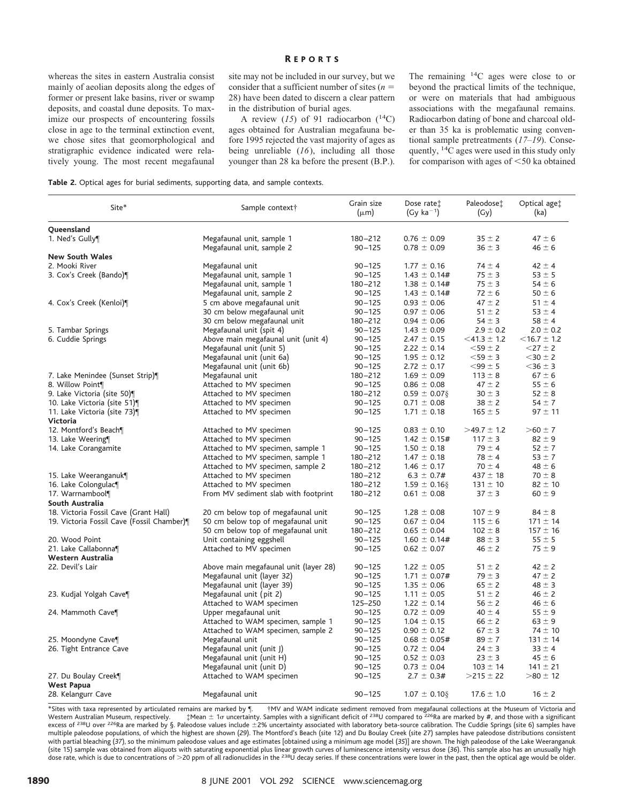### R EPORTS

whereas the sites in eastern Australia consist mainly of aeolian deposits along the edges of former or present lake basins, river or swamp deposits, and coastal dune deposits. To maximize our prospects of encountering fossils close in age to the terminal extinction event, we chose sites that geomorphological and stratigraphic evidence indicated were relatively young. The most recent megafaunal

site may not be included in our survey, but we consider that a sufficient number of sites  $(n =$ 28) have been dated to discern a clear pattern in the distribution of burial ages.

A review  $(15)$  of 91 radiocarbon  $(^{14}C)$ ages obtained for Australian megafauna before 1995 rejected the vast majority of ages as being unreliable (*16*), including all those younger than 28 ka before the present (B.P.).

The remaining 14C ages were close to or beyond the practical limits of the technique, or were on materials that had ambiguous associations with the megafaunal remains. Radiocarbon dating of bone and charcoal older than 35 ka is problematic using conventional sample pretreatments (*17–19*). Consequently, 14C ages were used in this study only for comparison with ages of  $<$  50 ka obtained

| Table 2. Optical ages for burial sediments, supporting data, and sample contexts. |  |  |  |  |  |  |  |
|-----------------------------------------------------------------------------------|--|--|--|--|--|--|--|
|-----------------------------------------------------------------------------------|--|--|--|--|--|--|--|

| Site*                                      | Sample context†                       | Grain size<br>$(\mu m)$ | Dose ratet<br>$(Gy ka^{-1})$ | Paleodose <sup>t</sup><br>(Gy) | Optical age <sup>+</sup><br>(ka) |
|--------------------------------------------|---------------------------------------|-------------------------|------------------------------|--------------------------------|----------------------------------|
| Queensland                                 |                                       |                         |                              |                                |                                  |
| 1. Ned's Gully¶                            | Megafaunal unit, sample 1             | $180 - 212$             | $0.76 \pm 0.09$              | $35 \pm 2$                     | $47 \pm 6$                       |
|                                            | Megafaunal unit, sample 2             | $90 - 125$              | $0.78 \pm 0.09$              | $36 \pm 3$                     | $46 \pm 6$                       |
| <b>New South Wales</b>                     |                                       |                         |                              |                                |                                  |
| 2. Mooki River                             | Megafaunal unit                       | $90 - 125$              | $1.77 \pm 0.16$              | $74 \pm 4$                     | $42 \pm 4$                       |
| 3. Cox's Creek (Bando)¶                    | Megafaunal unit, sample 1             | $90 - 125$              | $1.43 \pm 0.14#$             | $75 \pm 3$                     | $53 \pm 5$                       |
|                                            | Megafaunal unit, sample 1             | 180-212                 | $1.38 \pm 0.14#$             | $75 \pm 3$                     | $54 \pm 6$                       |
|                                            | Megafaunal unit, sample 2             | $90 - 125$              | $1.43 \pm 0.14#$             | $72 \pm 6$                     | $50 \pm 6$                       |
| 4. Cox's Creek (Kenloi)¶                   | 5 cm above megafaunal unit            | $90 - 125$              | $0.93 \pm 0.06$              | $47 \pm 2$                     | $51 \pm 4$                       |
|                                            | 30 cm below megafaunal unit           | $90 - 125$              | $0.97 \pm 0.06$              | $51 \pm 2$                     | $53 \pm 4$                       |
|                                            | 30 cm below megafaunal unit           | $180 - 212$             | $0.94 \pm 0.06$              | $54 \pm 3$                     | $58 \pm 4$                       |
| 5. Tambar Springs                          | Megafaunal unit (spit 4)              | $90 - 125$              | $1.43 \pm 0.09$              | $2.9 \pm 0.2$                  | $2.0 \pm 0.2$                    |
| 6. Cuddie Springs                          | Above main megafaunal unit (unit 4)   | $90 - 125$              | $2.47 \pm 0.15$              | $<$ 41.3 $\pm$ 1.2             | $<$ 16.7 $\pm$ 1.2               |
|                                            | Megafaunal unit (unit 5)              | $90 - 125$              | $2.22 \pm 0.14$              | $<$ 59 $\pm$ 2                 | $<$ 27 $\pm$ 2                   |
|                                            | Megafaunal unit (unit 6a)             | $90 - 125$              | $1.95 \pm 0.12$              | $<$ 59 $\pm$ 3                 | $<$ 30 $\pm$ 2                   |
|                                            | Megafaunal unit (unit 6b)             | $90 - 125$              | $2.72 \pm 0.17$              | $<$ 99 $\pm$ 5                 | $<$ 36 $\pm$ 3                   |
| 7. Lake Menindee (Sunset Strip)¶           | Megafaunal unit                       | $180 - 212$             | $1.69 \pm 0.09$              | $113 \pm 8$                    | $67 \pm 6$                       |
| 8. Willow Point¶                           | Attached to MV specimen               | $90 - 125$              | $0.86 \pm 0.08$              | $47 \pm 2$                     | $55 \pm 6$                       |
| 9. Lake Victoria (site 50)                 | Attached to MV specimen               | $180 - 212$             | $0.59 \pm 0.07$ §            | $30 \pm 3$                     | $52 \pm 8$                       |
| 10. Lake Victoria (site 51)                | Attached to MV specimen               | $90 - 125$              | $0.71 \pm 0.08$              | $38 \pm 2$                     | $54 \pm 7$                       |
| 11. Lake Victoria (site 73)<br>Victoria    | Attached to MV specimen               | $90 - 125$              | $1.71 \pm 0.18$              | $165 \pm 5$                    | $97 \pm 11$                      |
| 12. Montford's Beach¶                      | Attached to MV specimen               | $90 - 125$              | $0.83 \pm 0.10$              | $>49.7 \pm 1.2$                | $>60 \pm 7$                      |
| 13. Lake Weering                           | Attached to MV specimen               | $90 - 125$              | $1.42 \pm 0.15#$             | $117 \pm 3$                    | $82 \pm 9$                       |
| 14. Lake Corangamite                       | Attached to MV specimen, sample 1     | $90 - 125$              | $1.50 \pm 0.18$              | $79 \pm 4$                     | $52 \pm 7$                       |
|                                            | Attached to MV specimen, sample 1     | $180 - 212$             | $1.47 \pm 0.18$              | $78 \pm 4$                     | $53 + 7$                         |
|                                            | Attached to MV specimen, sample 2     | $180 - 212$             | $1.46 \pm 0.17$              | $70 \pm 4$                     | $48 \pm 6$                       |
| 15. Lake Weeranganuk¶                      | Attached to MV specimen               | $180 - 212$             | $6.3 \pm 0.7#$               | $437 \pm 18$                   | $70 \pm 8$                       |
| 16. Lake Colongulac¶                       | Attached to MV specimen               | $180 - 212$             | $1.59 \pm 0.16$ §            | $131 \pm 10$                   | $82 \pm 10$                      |
| 17. Warrnambool¶                           | From MV sediment slab with footprint  | $180 - 212$             | $0.61 \pm 0.08$              | $37 \pm 3$                     | $60 \pm 9$                       |
| South Australia                            |                                       |                         |                              |                                |                                  |
| 18. Victoria Fossil Cave (Grant Hall)      | 20 cm below top of megafaunal unit    | $90 - 125$              | $1.28 \pm 0.08$              | $107 \pm 9$                    | $84 \pm 8$                       |
| 19. Victoria Fossil Cave (Fossil Chamber)¶ | 50 cm below top of megafaunal unit    | $90 - 125$              | $0.67 \pm 0.04$              | $115 \pm 6$                    | $171 \pm 14$                     |
|                                            | 50 cm below top of megafaunal unit    | $180 - 212$             | $0.65 \pm 0.04$              | $102 \pm 8$                    | $157 \pm 16$                     |
| 20. Wood Point                             | Unit containing eggshell              | $90 - 125$              | $1.60 \pm 0.14#$             | $88 \pm 3$                     | $55 \pm 5$                       |
| 21. Lake Callabonna¶                       | Attached to MV specimen               | $90 - 125$              | $0.62 \pm 0.07$              | $46 \pm 2$                     | $75 \pm 9$                       |
| Western Australia                          |                                       |                         |                              |                                |                                  |
| 22. Devil's Lair                           | Above main megafaunal unit (layer 28) | $90 - 125$              | $1.22 \pm 0.05$              | $51 \pm 2$                     | $42 \pm 2$                       |
|                                            | Megafaunal unit (layer 32)            | $90 - 125$              | $1.71 \pm 0.07$ #            | $79 \pm 3$                     | $47 \pm 2$                       |
|                                            | Megafaunal unit (layer 39)            | $90 - 125$              | $1.35 \pm 0.06$              | $65 \pm 2$                     | $48 \pm 3$                       |
| 23. Kudjal Yolgah Cave¶                    | Megafaunal unit (pit 2)               | $90 - 125$              | $1.11 \pm 0.05$              | $51 \pm 2$                     | $46 \pm 2$                       |
|                                            | Attached to WAM specimen              | 125-250                 | $1.22 \pm 0.14$              | $56 \pm 2$                     | $46 \pm 6$                       |
| 24. Mammoth Cave                           | Upper megafaunal unit                 | $90 - 125$              | $0.72 \pm 0.09$              | $40 \pm 4$                     | $55 \pm 9$                       |
|                                            | Attached to WAM specimen, sample 1    | $90 - 125$              | $1.04 \pm 0.15$              | $66 \pm 2$                     | $63 \pm 9$                       |
|                                            | Attached to WAM specimen, sample 2    | $90 - 125$              | $0.90 \pm 0.12$              | $67 \pm 3$                     | $74 \pm 10$                      |
| 25. Moondyne Cave¶                         | Megafaunal unit                       | $90 - 125$              | $0.68 \pm 0.05#$             | $89 \pm 7$                     | $131 \pm 14$                     |
| 26. Tight Entrance Cave                    | Megafaunal unit (unit J)              | $90 - 125$              | $0.72 \pm 0.04$              | $24 \pm 3$                     | $33 \pm 4$                       |
|                                            | Megafaunal unit (unit H)              | $90 - 125$              | $0.52 \pm 0.03$              | $23 \pm 3$                     | $45 \pm 6$                       |
|                                            | Megafaunal unit (unit D)              | $90 - 125$              | $0.73 \pm 0.04$              | $103 \pm 14$                   | $141 \pm 21$                     |
| 27. Du Boulay Creek¶<br><b>West Papua</b>  | Attached to WAM specimen              | $90 - 125$              | $2.7 \pm 0.3#$               | $>215 \pm 22$                  | $>80 \pm 12$                     |
| 28. Kelangurr Cave                         | Megafaunal unit                       | $90 - 125$              | $1.07 \pm 0.10$ §            | $17.6 \pm 1.0$                 | $16 \pm 2$                       |

\*Sites with taxa represented by articulated remains are marked by ¶. †MV and WAM indicate sediment removed from megafaunal collections at the Museum of Victoria and<br>Western Australian Museum, respectively. ‡Mean excess of 238U over 226Ra are marked by §. Paleodose values include ±2% uncertainty associated with laboratory beta-source calibration. The Cuddie Springs (site 6) samples have excess of 238U over 226Ra are marked by §. Pa multiple paleodose populations, of which the highest are shown (*29*). The Montford's Beach (site 12) and Du Boulay Creek (site 27) samples have paleodose distributions consistent with partial bleaching (*37*), so the minimum paleodose values and age estimates [obtained using a minimum age model (*35*)] are shown. The high paleodose of the Lake Weeranganuk (site 15) sample was obtained from aliquots with saturating exponential plus linear growth curves of luminescence intensity versus dose (36). This sample also has an unusually high<br>dose rate, which is due to concentrations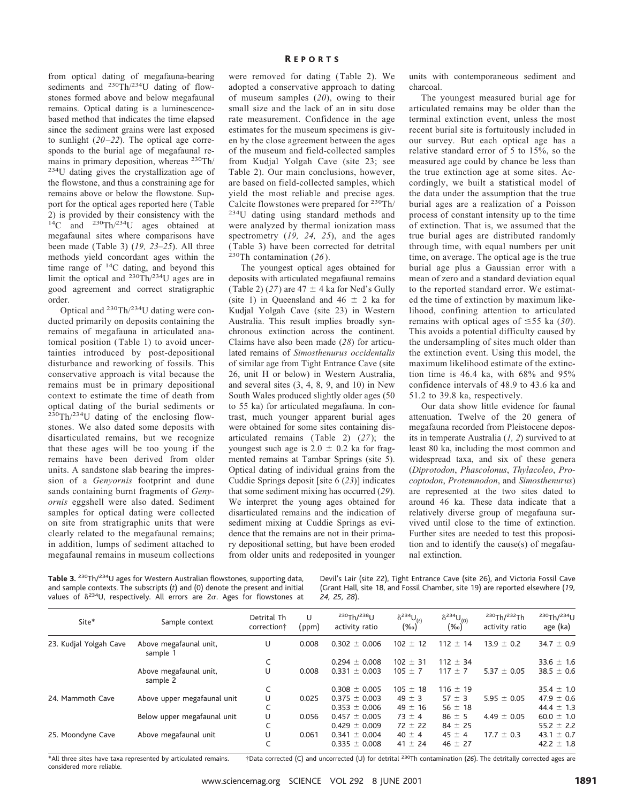from optical dating of megafauna-bearing sediments and <sup>230</sup>Th/<sup>234</sup>U dating of flowstones formed above and below megafaunal remains. Optical dating is a luminescencebased method that indicates the time elapsed since the sediment grains were last exposed to sunlight (*20–22*). The optical age corresponds to the burial age of megafaunal remains in primary deposition, whereas <sup>230</sup>Th/ <sup>234</sup>U dating gives the crystallization age of the flowstone, and thus a constraining age for remains above or below the flowstone. Support for the optical ages reported here (Table 2) is provided by their consistency with the 14C and 230Th/234U ages obtained at megafaunal sites where comparisons have been made (Table 3) (*19, 23–25*). All three methods yield concordant ages within the time range of 14C dating, and beyond this limit the optical and 230Th/234U ages are in good agreement and correct stratigraphic order.

Optical and 230Th/234U dating were conducted primarily on deposits containing the remains of megafauna in articulated anatomical position (Table 1) to avoid uncertainties introduced by post-depositional disturbance and reworking of fossils. This conservative approach is vital because the remains must be in primary depositional context to estimate the time of death from optical dating of the burial sediments or 230Th/234U dating of the enclosing flowstones. We also dated some deposits with disarticulated remains, but we recognize that these ages will be too young if the remains have been derived from older units. A sandstone slab bearing the impression of a *Genyornis* footprint and dune sands containing burnt fragments of *Genyornis* eggshell were also dated. Sediment samples for optical dating were collected on site from stratigraphic units that were clearly related to the megafaunal remains; in addition, lumps of sediment attached to megafaunal remains in museum collections R EPORTS

were removed for dating (Table 2). We adopted a conservative approach to dating of museum samples (*20*), owing to their small size and the lack of an in situ dose rate measurement. Confidence in the age estimates for the museum specimens is given by the close agreement between the ages of the museum and field-collected samples from Kudjal Yolgah Cave (site 23; see Table 2). Our main conclusions, however, are based on field-collected samples, which yield the most reliable and precise ages. Calcite flowstones were prepared for  $230 \text{Th}/234 \text{U}$  dating using standard methods and were analyzed by thermal ionization mass spectrometry (*19, 24, 25*), and the ages (Table 3) have been corrected for detrital 230Th contamination (*26*).

The youngest optical ages obtained for deposits with articulated megafaunal remains (Table 2) (27) are  $47 \pm 4$  ka for Ned's Gully (site 1) in Queensland and  $46 \pm 2$  ka for Kudjal Yolgah Cave (site 23) in Western Australia. This result implies broadly synchronous extinction across the continent. Claims have also been made (*28*) for articulated remains of *Simosthenurus occidentalis* of similar age from Tight Entrance Cave (site 26, unit H or below) in Western Australia, and several sites (3, 4, 8, 9, and 10) in New South Wales produced slightly older ages (50 to 55 ka) for articulated megafauna. In contrast, much younger apparent burial ages were obtained for some sites containing disarticulated remains (Table 2) (*27*); the youngest such age is  $2.0 \pm 0.2$  ka for fragmented remains at Tambar Springs (site 5). Optical dating of individual grains from the Cuddie Springs deposit [site 6 (*23*)] indicates that some sediment mixing has occurred (*29*). We interpret the young ages obtained for disarticulated remains and the indication of sediment mixing at Cuddie Springs as evidence that the remains are not in their primary depositional setting, but have been eroded from older units and redeposited in younger

units with contemporaneous sediment and charcoal.

The youngest measured burial age for articulated remains may be older than the terminal extinction event, unless the most recent burial site is fortuitously included in our survey. But each optical age has a relative standard error of 5 to 15%, so the measured age could by chance be less than the true extinction age at some sites. Accordingly, we built a statistical model of the data under the assumption that the true burial ages are a realization of a Poisson process of constant intensity up to the time of extinction. That is, we assumed that the true burial ages are distributed randomly through time, with equal numbers per unit time, on average. The optical age is the true burial age plus a Gaussian error with a mean of zero and a standard deviation equal to the reported standard error. We estimated the time of extinction by maximum likelihood, confining attention to articulated remains with optical ages of  $\leq$ 55 ka (30). This avoids a potential difficulty caused by the undersampling of sites much older than the extinction event. Using this model, the maximum likelihood estimate of the extinction time is 46.4 ka, with 68% and 95% confidence intervals of 48.9 to 43.6 ka and 51.2 to 39.8 ka, respectively.

Our data show little evidence for faunal attenuation. Twelve of the 20 genera of megafauna recorded from Pleistocene deposits in temperate Australia (*1, 2*) survived to at least 80 ka, including the most common and widespread taxa, and six of these genera (*Diprotodon*, *Phascolonus*, *Thylacoleo*, *Procoptodon*, *Protemnodon*, and *Simosthenurus*) are represented at the two sites dated to around 46 ka. These data indicate that a relatively diverse group of megafauna survived until close to the time of extinction. Further sites are needed to test this proposition and to identify the cause(s) of megafaunal extinction.

**Table 3.** 230Th/234U ages for Western Australian flowstones, supporting data, and sample contexts. The subscripts (*t*) and (0) denote the present and initial values of  $\delta^{234}$ U, respectively. All errors are  $2\sigma$ . Ages for flowstones at Devil's Lair (site 22), Tight Entrance Cave (site 26), and Victoria Fossil Cave (Grant Hall, site 18, and Fossil Chamber, site 19) are reported elsewhere (*19, 24, 25, 28*).

|                                    | correction† | (ppm) | activity ratio    | $\delta^{234}U_{(t)}$<br>$(\%circ)$ | $\delta^{234}U_{(0)}$<br>$(\%_{0})$ | 230Th/232Th<br>activity ratio | 230Th/234U<br>age (ka) |
|------------------------------------|-------------|-------|-------------------|-------------------------------------|-------------------------------------|-------------------------------|------------------------|
| Above megafaunal unit,<br>sample 1 | U           | 0.008 | $0.302 \pm 0.006$ | $102 \pm 12$                        | $112 \pm 14$                        | $13.9 \pm 0.2$                | $34.7 \pm 0.9$         |
|                                    |             |       | $0.294 \pm 0.008$ | $102 \pm 31$                        | $112 \pm 34$                        |                               | 33.6 $\pm$ 1.6         |
| Above megafaunal unit,<br>sample 2 | U           | 0.008 | $0.331 \pm 0.003$ | $105 \pm 7$                         | $117 \pm 7$                         | $5.37 \pm 0.05$               | $38.5 \pm 0.6$         |
|                                    |             |       | $0.308 \pm 0.005$ | $105 \pm 18$                        | $116 \pm 19$                        |                               | $35.4 \pm 1.0$         |
| Above upper megafaunal unit        | U           | 0.025 | $0.375 \pm 0.003$ | $49 \pm 3$                          | $57 \pm 3$                          | $5.95 \pm 0.05$               | $47.9 \pm 0.6$         |
|                                    |             |       | $0.353 \pm 0.006$ | $49 \pm 16$                         | $56 \pm 18$                         |                               | 44.4 $\pm$ 1.3         |
| Below upper megafaunal unit        | U           | 0.056 | $0.457 \pm 0.005$ | $73 \pm 4$                          | $86 \pm 5$                          | $4.49 \pm 0.05$               | $60.0 \pm 1.0$         |
|                                    |             |       | $0.429 \pm 0.009$ | $72 \pm 22$                         | $84 \pm 25$                         |                               | 55.2 $\pm$ 2.2         |
| Above megafaunal unit              | U           | 0.061 | $0.341 \pm 0.004$ | $40 \pm 4$                          | $45 \pm 4$                          | $17.7 \pm 0.3$                | 43.1 $\pm$ 0.7         |
|                                    |             |       | $0.335 \pm 0.008$ | $41 \pm 24$                         | $46 \pm 27$                         |                               | 42.2 $\pm$ 1.8         |
|                                    |             |       |                   |                                     |                                     |                               |                        |

\*All three sites have taxa represented by articulated remains. †Data corrected (C) and uncorrected (U) for detrital 230Th contamination (*26*). The detritally corrected ages are considered more reliable.